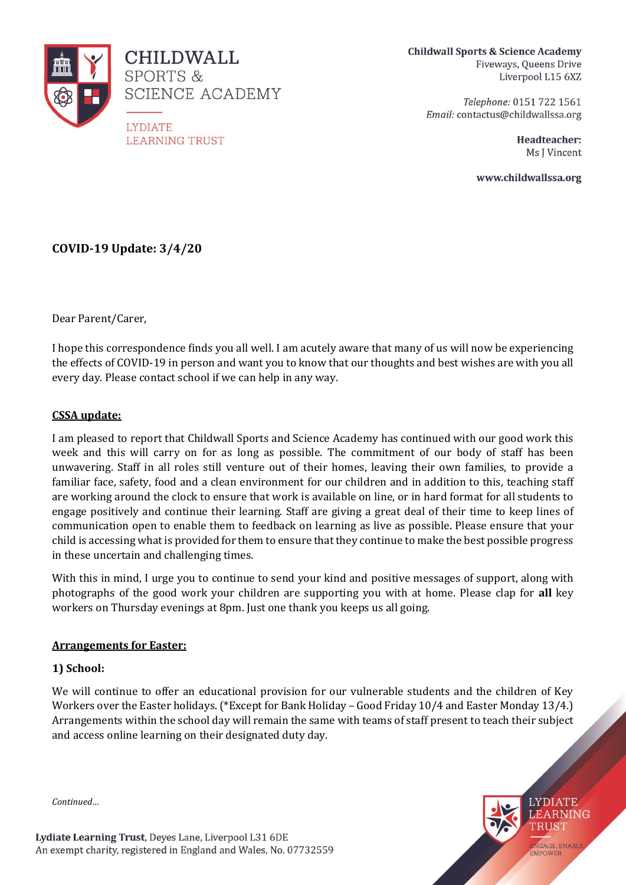

**Childwall Sports & Science Academy** Fiveways, Queens Drive Liverpool L15 6XZ

> Telephone: 0151 722 1561 Email: contactus@childwallssa.org

> > Headteacher: Ms J Vincent

> > > **LYDIATE** LEARNING TRUST

ENGAGE, ENABLE<br>EMPOWER

www.childwallssa.org

# **COVID-19 Update: 3/4/20**

Dear Parent/Carer,

I hope this correspondence finds you all well. I am acutely aware that many of us will now be experiencing the effects of COVID-19 in person and want you to know that our thoughts and best wishes are with you all every day. Please contact school if we can help in any way.

## **CSSA update:**

I am pleased to report that Childwall Sports and Science Academy has continued with our good work this week and this will carry on for as long as possible. The commitment of our body of staff has been unwavering. Staff in all roles still venture out of their homes, leaving their own families, to provide a familiar face, safety, food and a clean environment for our children and in addition to this, teaching staff are working around the clock to ensure that work is available on line, or in hard format for all students to engage positively and continue their learning. Staff are giving a great deal of their time to keep lines of communication open to enable them to feedback on learning as live as possible. Please ensure that your child is accessing what is provided for them to ensure that they continue to make the best possible progress in these uncertain and challenging times.

With this in mind, I urge you to continue to send your kind and positive messages of support, along with photographs of the good work your children are supporting you with at home. Please clap for **all** key workers on Thursday evenings at 8pm. Just one thank you keeps us all going.

#### **Arrangements for Easter:**

#### **1) School:**

We will continue to offer an educational provision for our vulnerable students and the children of Key Workers over the Easter holidays. (\*Except for Bank Holiday – Good Friday 10/4 and Easter Monday 13/4.) Arrangements within the school day will remain the same with teams of staff present to teach their subject and access online learning on their designated duty day.

*Continued…*